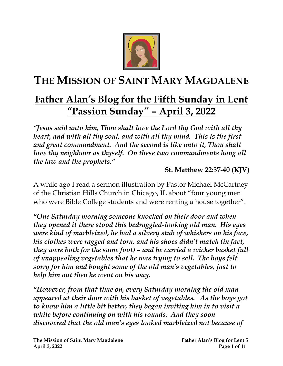

# **THE MISSION OF SAINT MARY MAGDALENE**

# **Father Alan's Blog for the Fifth Sunday in Lent "Passion Sunday" – April 3, 2022**

*"Jesus said unto him, Thou shalt love the Lord thy God with all thy heart, and with all thy soul, and with all thy mind. This is the first and great commandment. And the second is like unto it, Thou shalt love thy neighbour as thyself. On these two commandments hang all the law and the prophets."*

**St. Matthew 22:37-40 (KJV)**

A while ago I read a sermon illustration by Pastor Michael McCartney of the Christian Hills Church in Chicago, IL about "four young men who were Bible College students and were renting a house together".

*"One Saturday morning someone knocked on their door and when they opened it there stood this bedraggled-looking old man. His eyes were kind of marbleized, he had a silvery stub of whiskers on his face, his clothes were ragged and torn, and his shoes didn't match (in fact, they were both for the same foot) – and he carried a wicker basket full of unappealing vegetables that he was trying to sell. The boys felt sorry for him and bought some of the old man's vegetables, just to help him out then he went on his way.*

*"However, from that time on, every Saturday morning the old man appeared at their door with his basket of vegetables. As the boys got to know him a little bit better, they began inviting him in to visit a while before continuing on with his rounds. And they soon discovered that the old man's eyes looked marbleized not because of*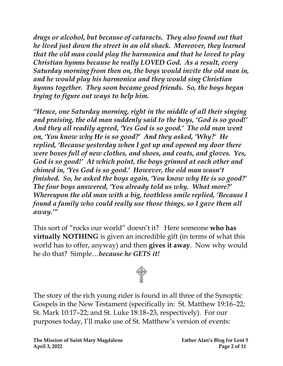*drugs or alcohol, but because of cataracts. They also found out that he lived just down the street in an old shack. Moreover, they learned that the old man could play the harmonica and that he loved to play Christian hymns because he really LOVED God. As a result, every Saturday morning from then on, the boys would invite the old man in, and he would play his harmonica and they would sing Christian hymns together. They soon became good friends. So, the boys began trying to figure out ways to help him.*

*"Hence, one Saturday morning, right in the middle of all their singing and praising, the old man suddenly said to the boys, 'God is so good!' And they all readily agreed, 'Yes God is so good.' The old man went on, 'You know why He is so good?' And they asked, 'Why?' He replied, 'Because yesterday when I got up and opened my door there were boxes full of new clothes, and shoes, and coats, and gloves. Yes, God is so good!' At which point, the boys grinned at each other and chimed in, 'Yes God is so good.' However, the old man wasn't finished. So, he asked the boys again, 'You know why He is so good?' The four boys answered, 'You already told us why. What more?' Whereupon the old man with a big, toothless smile replied, 'Because I found a family who could really use those things, so I gave them all away.'"*

This sort of "rocks our world" doesn't it? Here someone **who has virtually NOTHING** is given an incredible gift (in terms of what this world has to offer, anyway) and then **gives it away**. Now why would he do that? Simple…*because he GETS it!*



The story of the rich young ruler is found in all three of the Synoptic Gospels in the New Testament (specifically in: St. [Matthew 19:16](https://biblia.com/bible/esv/Matt%2019.16)–22; St. [Mark 10:17](https://biblia.com/bible/esv/Mark%2010.17)–22; and St. [Luke 18:18](https://biblia.com/bible/esv/Luke%2018.18)–23, respectively). For our purposes today, I'll make use of St. Matthew's version of events: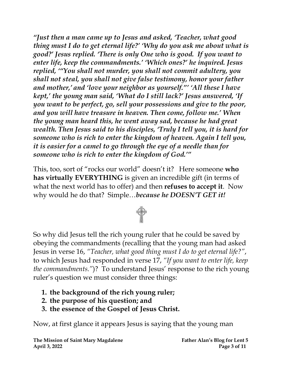*"Just then a man came up to Jesus and asked, 'Teacher, what good thing must I do to get eternal life?' 'Why do you ask me about what is good?' Jesus replied. 'There is only One who is good. If you want to enter life, keep the commandments.' 'Which ones?' he inquired. Jesus replied, '"You shall not murder, you shall not commit adultery, you shall not steal, you shall not give false testimony, honor your father and mother,' and 'love your neighbor as yourself."' 'All these I have kept,' the young man said, 'What do I still lack?' Jesus answered, 'If you want to be perfect, go, sell your possessions and give to the poor, and you will have treasure in heaven. Then come, follow me.' When the young man heard this, he went away sad, because he had great wealth. Then Jesus said to his disciples, 'Truly I tell you, it is hard for someone who is rich to enter the kingdom of heaven. Again I tell you, it is easier for a camel to go through the eye of a needle than for someone who is rich to enter the kingdom of God.'"*

This, too, sort of "rocks our world" doesn't it? Here someone **who has virtually EVERYTHING** is given an incredible gift (in terms of what the next world has to offer) and then **refuses to accept it**. Now why would he do that? Simple…*because he DOESN'T GET it!*



So why did Jesus tell the rich young ruler that he could be saved by obeying the commandments (recalling that the young man had asked Jesus in verse 16, *"Teacher, what good thing must I do to get eternal life?"*, to which Jesus had responded in verse 17, *"If you want to enter life, keep the commandments."*)? To understand Jesus' response to the rich young ruler's question we must consider three things:

- **1. the background of the rich young ruler;**
- **2. the purpose of his question; and**
- **3. the essence of the Gospel of Jesus Christ.**

Now, at first glance it appears Jesus is saying that the young man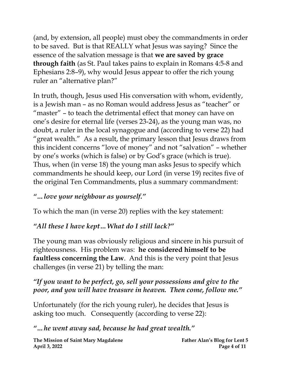(and, by extension, all people) must obey the commandments in order to be saved. But is that REALLY what Jesus was saying? Since the essence of the salvation message is that **we are saved by grace through faith** (as St. Paul takes pains to explain in Romans 4:5-8 and [Ephesians 2:8](https://biblia.com/bible/esv/Eph%202.8)–9), why would Jesus appear to offer the rich young ruler an "alternative plan?"

In truth, though, Jesus used His conversation with whom, evidently, is a Jewish man – as no Roman would address Jesus as "teacher" or "master" – to teach the detrimental effect that money can have on one's desire for eternal life (verses 23-24), as the young man was, no doubt, a ruler in the local synagogue and (according to verse 22) had "great wealth." As a result, the primary lesson that Jesus draws from this incident concerns "love of money" and not "salvation" – whether by one's works (which is false) or by God's grace (which is true). Thus, when (in verse 18) the young man asks Jesus to specify which commandments he should keep, our Lord (in verse 19) recites five of the original Ten Commandments, plus a summary commandment:

# *"…love your neighbour as yourself."*

To which the man (in verse 20) replies with the key statement:

## *"All these I have kept…What do I still lack?"*

The young man was obviously religious and sincere in his pursuit of righteousness. His problem was: **he considered himself to be faultless concerning the Law**. And this is the very point that Jesus challenges (in verse 21) by telling the man:

### *"If you want to be perfect, go, sell your possessions and give to the poor, and you will have treasure in heaven. Then come, follow me."*

Unfortunately (for the rich young ruler), he decides that Jesus is asking too much. Consequently (according to verse 22):

*"…he went away sad, because he had great wealth."*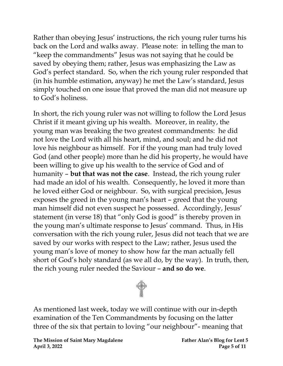Rather than obeying Jesus' instructions, the rich young ruler turns his back on the Lord and walks away. Please note: in telling the man to "keep the commandments" Jesus was not saying that he could be saved by obeying them; rather, Jesus was emphasizing the Law as God's perfect standard. So, when the rich young ruler responded that (in his humble estimation, anyway) he met the Law's standard, Jesus simply touched on one issue that proved the man did not measure up to God's holiness.

In short, the rich young ruler was not willing to follow the Lord Jesus Christ if it meant giving up his wealth. Moreover, in reality, the young man was breaking the two greatest [commandments:](https://www.gotquestions.org/greatest-commandment.html) he did not love the Lord with all his heart, mind, and soul; and he did not love his neighbour as himself. For if the young man had truly loved God (and other people) more than he did his property, he would have been willing to give up his wealth to the service of God and of humanity – **but that was not the case**. Instead, the rich young ruler had made an idol of his wealth. Consequently, he loved it more than he loved either God or neighbour. So, with surgical precision, Jesus exposes the greed in the young man's heart – greed that the young man himself did not even suspect he possessed. Accordingly, Jesus' statement (in verse 18) that "only God is good" is thereby proven in the young man's ultimate response to Jesus' command. Thus, in His conversation with the rich young ruler, Jesus did not teach that we are saved by our works with respect to the Law; rather, Jesus used the young man's love of money to show how far the man actually fell short of God's holy standard (as we all do, by the way). In truth, then, the rich young ruler needed the Saviour – **and so do we**.



As mentioned last week, today we will continue with our in-depth examination of the Ten Commandments by focusing on the latter three of the six that pertain to loving "our neighbour"- meaning that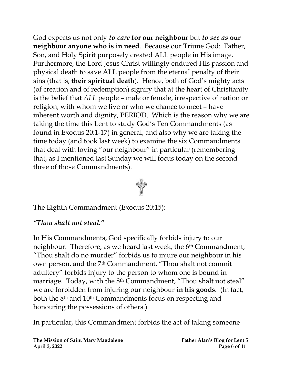God expects us not only *to care* **for our neighbour** but *to see as* **our neighbour anyone who is in need**. Because our Triune God: Father, Son, and Holy Spirit purposely created ALL people in His image. Furthermore, the Lord Jesus Christ willingly endured His passion and physical death to save ALL people from the eternal penalty of their sins (that is, **their spiritual death**). Hence, both of God's mighty acts (of creation and of redemption) signify that at the heart of Christianity is the belief that *ALL* people – male or female, irrespective of nation or religion, with whom we live or who we chance to meet – have inherent worth and dignity, PERIOD. Which is the reason why we are taking the time this Lent to study God's Ten Commandments (as found in Exodus 20:1-17) in general, and also why we are taking the time today (and took last week) to examine the six Commandments that deal with loving "our neighbour" in particular (remembering that, as I mentioned last Sunday we will focus today on the second three of those Commandments).



The Eighth Commandment (Exodus 20:15):

#### *"Thou shalt not steal."*

In His Commandments, God specifically forbids injury to our neighbour. Therefore, as we heard last week, the 6th Commandment, "Thou shalt do no murder" forbids us to injure our neighbour in his own person, and the 7th Commandment, "Thou shalt not commit adultery" forbids injury to the person to whom one is bound in marriage. Today, with the 8<sup>th</sup> Commandment, "Thou shalt not steal" we are forbidden from injuring our neighbour **in his goods**. (In fact, both the 8<sup>th</sup> and 10<sup>th</sup> Commandments focus on respecting and honouring the possessions of others.)

In particular, this Commandment forbids the act of taking someone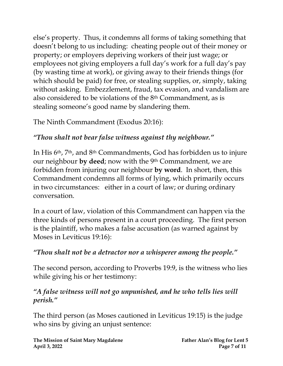else's property. Thus, it condemns all forms of taking something that doesn't belong to us including: cheating people out of their money or property; or employers depriving workers of their just wage; or employees not giving employers a full day's work for a full day's pay (by wasting time at work), or giving away to their friends things (for which should be paid) for free, or stealing supplies, or, simply, taking without asking. Embezzlement, fraud, tax evasion, and vandalism are also considered to be violations of the 8th Commandment, as is stealing someone's good name by slandering them.

The Ninth Commandment (Exodus 20:16):

# *"Thou shalt not bear false witness against thy neighbour."*

In His 6th, 7th, and 8th Commandments, God has forbidden us to injure our neighbour **by deed**; now with the 9th Commandment, we are forbidden from injuring our neighbour **by word**. In short, then, this Commandment condemns all forms of lying, which primarily occurs in two circumstances: either in a court of law; or during ordinary conversation.

In a court of law, violation of this Commandment can happen via the three kinds of persons present in a court proceeding. The first person is the plaintiff, who makes a false accusation (as warned against by Moses in Leviticus 19:16):

# *"Thou shalt not be a detractor nor a whisperer among the people."*

The second person, according to Proverbs 19:9, is the witness who lies while giving his or her testimony:

### *"A false witness will not go unpunished, and he who tells lies will perish."*

The third person (as Moses cautioned in Leviticus 19:15) is the judge who sins by giving an unjust sentence: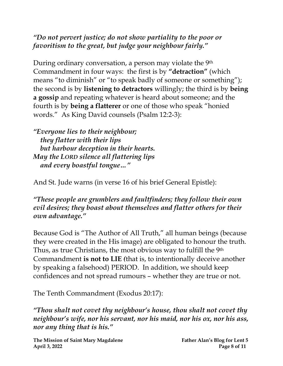#### *"Do not pervert justice; do not show partiality to the poor or favoritism to the great, but judge your neighbour fairly."*

During ordinary conversation, a person may violate the 9th Commandment in four ways: the first is by **"detraction"** (which means "to diminish" or "to speak badly of someone or something"); the second is by **listening to detractors** willingly; the third is by **being a gossip** and repeating whatever is heard about someone; and the fourth is by **being a flatterer** or one of those who speak "honied words." As King David counsels (Psalm 12:2-3):

*"Everyone lies to their neighbour; they flatter with their lips but harbour deception in their hearts. May the LORD silence all flattering lips and every boastful tongue…"*

And St. Jude warns (in verse 16 of his brief General Epistle):

*"These people are grumblers and faultfinders; they follow their own evil desires; they boast about themselves and flatter others for their own advantage."*

Because God is "The Author of All Truth," all human beings (because they were created in the His image) are obligated to honour the truth. Thus, as true Christians, the most obvious way to fulfill the 9th Commandment **is not to LIE** *(*that is, to intentionally deceive another by speaking a falsehood) PERIOD. In addition, we should keep confidences and not spread rumours – whether they are true or not.

The Tenth Commandment (Exodus 20:17):

*"Thou shalt not covet thy neighbour's house, thou shalt not covet thy neighbour's wife, nor his servant, nor his maid, nor his ox, nor his ass, nor any thing that is his."*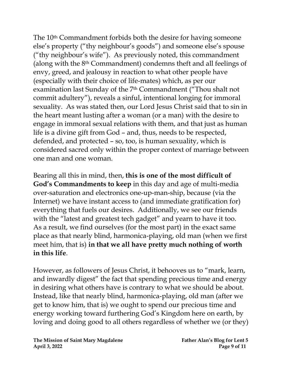The 10th Commandment forbids both the desire for having someone else's property ("thy neighbour's goods") and someone else's spouse ("thy neighbour's wife"). As previously noted, this commandment (along with the 8th Commandment) condemns theft and all feelings of envy, greed, and jealousy in reaction to what other people have (especially with their choice of life-mates) which, as per our examination last Sunday of the 7th Commandment ("Thou shalt not commit adultery"), reveals a sinful, intentional longing for immoral sexuality. As was stated then, our Lord Jesus Christ said that to sin in the heart meant lusting after a woman (or a man) with the desire to engage in immoral sexual relations with them, and that just as human life is a divine gift from God – and, thus, needs to be respected, defended, and protected – so, too, is human sexuality, which is considered sacred only within the proper context of marriage between one man and one woman.

Bearing all this in mind, then, **this is one of the most difficult of God's Commandments to keep** in this day and age of multi-media over-saturation and electronics one-up-man-ship, because (via the Internet) we have instant access to (and immediate gratification for) everything that fuels our desires. Additionally, we see our friends with the "latest and greatest tech gadget" and yearn to have it too. As a result, we find ourselves (for the most part) in the exact same place as that nearly blind, harmonica-playing, old man (when we first meet him, that is) **in that we all have pretty much nothing of worth in this life**.

However, as followers of Jesus Christ, it behooves us to "mark, learn, and inwardly digest" the fact that spending precious time and energy in desiring what others have is contrary to what we should be about. Instead, like that nearly blind, harmonica-playing, old man (after we get to know him, that is) we ought to spend our precious time and energy working toward furthering God's Kingdom here on earth, by loving and doing good to all others regardless of whether we (or they)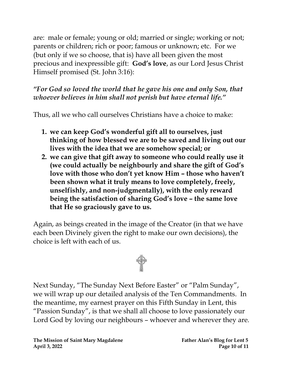are: male or female; young or old; married or single; working or not; parents or children; rich or poor; famous or unknown; etc. For we (but only if we so choose, that is) have all been given the most precious and inexpressible gift: **God's love**, as our Lord Jesus Christ Himself promised (St. John 3:16):

## *"For God so loved the world that he gave his one and only Son, that whoever believes in him shall not perish but have eternal life."*

Thus, all we who call ourselves Christians have a choice to make:

- **1. we can keep God's wonderful gift all to ourselves, just thinking of how blessed we are to be saved and living out our lives with the idea that we are somehow special; or**
- **2. we can give that gift away to someone who could really use it (we could actually be neighbourly and share the gift of God's love with those who don't yet know Him – those who haven't been shown what it truly means to love completely, freely, unselfishly, and non-judgmentally), with the only reward being the satisfaction of sharing God's love – the same love that He so graciously gave to us.**

Again, as beings created in the image of the Creator (in that we have each been Divinely given the right to make our own decisions), the choice is left with each of us.



Next Sunday, "The Sunday Next Before Easter" or "Palm Sunday", we will wrap up our detailed analysis of the Ten Commandments. In the meantime, my earnest prayer on this Fifth Sunday in Lent, this "Passion Sunday", is that we shall all choose to love passionately our Lord God by loving our neighbours – whoever and wherever they are.